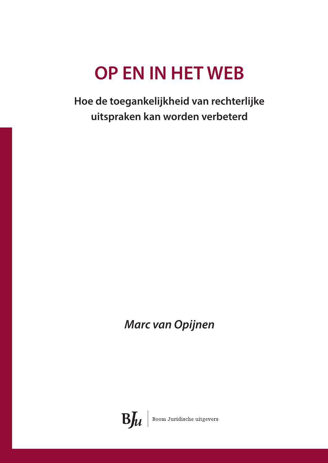## **OP EN IN HET WEB**

**Hoe de toegankelijkheid van rechterlijke uitspraken kan worden verbeterd**

*Marc van Opijnen*

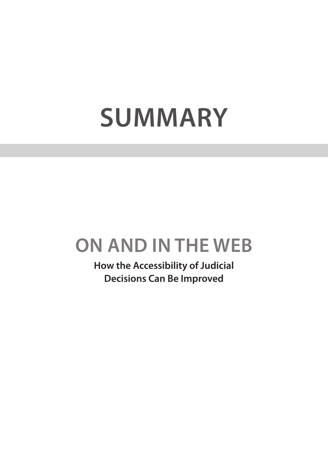## **Summary**

## **On and In the Web**

**How the Accessibility of Judicial Decisions Can Be Improved**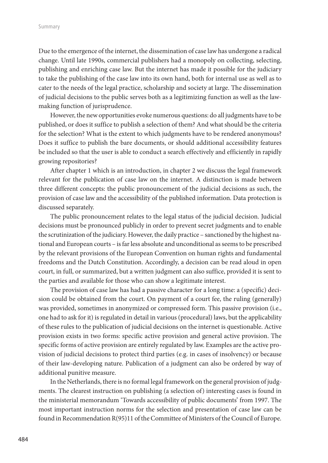Due to the emergence of the internet, the dissemination of case law has undergone a radical change. Until late 1990s, commercial publishers had a monopoly on collecting, selecting, publishing and enriching case law. But the internet has made it possible for the judiciary to take the publishing of the case law into its own hand, both for internal use as well as to cater to the needs of the legal practice, scholarship and society at large. The dissemination of judicial decisions to the public serves both as a legitimizing function as well as the lawmaking function of jurisprudence.

However, the new opportunities evoke numerous questions: do all judgments have to be published, or does it suffice to publish a selection of them? And what should be the criteria for the selection? What is the extent to which judgments have to be rendered anonymous? Does it suffice to publish the bare documents, or should additional accessibility features be included so that the user is able to conduct a search effectively and efficiently in rapidly growing repositories?

After chapter 1 which is an introduction, in chapter 2 we discuss the legal framework relevant for the publication of case law on the internet. A distinction is made between three different concepts: the public pronouncement of the judicial decisions as such, the provision of case law and the accessibility of the published information. Data protection is discussed separately.

The public pronouncement relates to the legal status of the judicial decision. Judicial decisions must be pronounced publicly in order to prevent secret judgments and to enable the scrutinization of the judiciary. However, the daily practice – sanctioned by the highest national and European courts – is far less absolute and unconditional as seems to be prescribed by the relevant provisions of the European Convention on human rights and fundamental freedoms and the Dutch Constitution. Accordingly, a decision can be read aloud in open court, in full, or summarized, but a written judgment can also suffice, provided it is sent to the parties and available for those who can show a legitimate interest.

The provision of case law has had a passive character for a long time: a (specific) decision could be obtained from the court. On payment of a court fee, the ruling (generally) was provided, sometimes in anonymized or compressed form. This passive provision (i.e., one had to ask for it) is regulated in detail in various (procedural) laws, but the applicability of these rules to the publication of judicial decisions on the internet is questionable. Active provision exists in two forms: specific active provision and general active provision. The specific forms of active provision are entirely regulated by law. Examples are the active provision of judicial decisions to protect third parties (e.g. in cases of insolvency) or because of their law-developing nature. Publication of a judgment can also be ordered by way of additional punitive measure.

In the Netherlands, there is no formal legal framework on the general provision of judgments. The clearest instruction on publishing (a selection of) interesting cases is found in the ministerial memorandum 'Towards accessibility of public documents' from 1997. The most important instruction norms for the selection and presentation of case law can be found in Recommendation R(95)11 of the Committee of Ministers of the Council of Europe.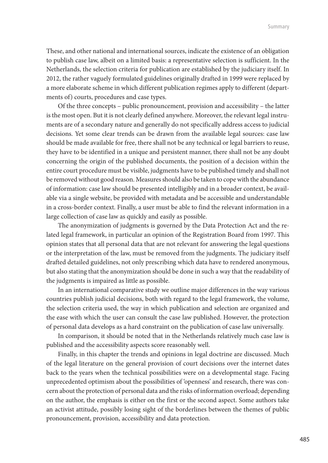These, and other national and international sources, indicate the existence of an obligation to publish case law, albeit on a limited basis: a representative selection is sufficient. In the Netherlands, the selection criteria for publication are established by the judiciary itself. In 2012, the rather vaguely formulated guidelines originally drafted in 1999 were replaced by a more elaborate scheme in which different publication regimes apply to different (departments of) courts, procedures and case types.

Of the three concepts – public pronouncement, provision and accessibility – the latter is the most open. But it is not clearly defined anywhere. Moreover, the relevant legal instruments are of a secondary nature and generally do not specifically address access to judicial decisions. Yet some clear trends can be drawn from the available legal sources: case law should be made available for free, there shall not be any technical or legal barriers to reuse, they have to be identified in a unique and persistent manner, there shall not be any doubt concerning the origin of the published documents, the position of a decision within the entire court procedure must be visible, judgments have to be published timely and shall not be removed without good reason. Measures should also be taken to cope with the abundance of information: case law should be presented intelligibly and in a broader context, be available via a single website, be provided with metadata and be accessible and understandable in a cross-border context. Finally, a user must be able to find the relevant information in a large collection of case law as quickly and easily as possible.

The anonymization of judgments is governed by the Data Protection Act and the related legal framework, in particular an opinion of the Registration Board from 1997. This opinion states that all personal data that are not relevant for answering the legal questions or the interpretation of the law, must be removed from the judgments. The judiciary itself drafted detailed guidelines, not only prescribing which data have to rendered anonymous, but also stating that the anonymization should be done in such a way that the readability of the judgments is impaired as little as possible.

In an international comparative study we outline major differences in the way various countries publish judicial decisions, both with regard to the legal framework, the volume, the selection criteria used, the way in which publication and selection are organized and the ease with which the user can consult the case law published. However, the protection of personal data develops as a hard constraint on the publication of case law universally.

In comparison, it should be noted that in the Netherlands relatively much case law is published and the accessibility aspects score reasonably well.

Finally, in this chapter the trends and opinions in legal doctrine are discussed. Much of the legal literature on the general provision of court decisions over the internet dates back to the years when the technical possibilities were on a developmental stage. Facing unprecedented optimism about the possibilities of 'openness' and research, there was concern about the protection of personal data and the risks of information overload; depending on the author, the emphasis is either on the first or the second aspect. Some authors take an activist attitude, possibly losing sight of the borderlines between the themes of public pronouncement, provision, accessibility and data protection.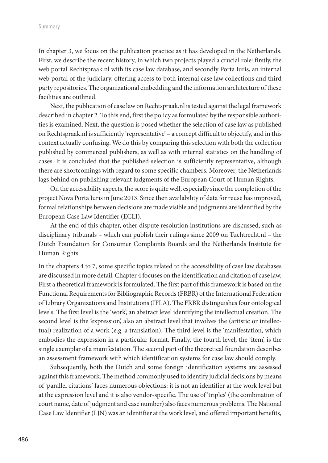In chapter 3, we focus on the publication practice as it has developed in the Netherlands. First, we describe the recent history, in which two projects played a crucial role: firstly, the web portal Rechtspraak.nl with its case law database, and secondly Porta Iuris, an internal web portal of the judiciary, offering access to both internal case law collections and third party repositories. The organizational embedding and the information architecture of these facilities are outlined.

Next, the publication of case law on Rechtspraak.nl is tested against the legal framework described in chapter 2. To this end, first the policy as formulated by the responsible authorities is examined. Next, the question is posed whether the selection of case law as published on Rechtspraak.nl is sufficiently 'representative' – a concept difficult to objectify, and in this context actually confusing. We do this by comparing this selection with both the collection published by commercial publishers, as well as with internal statistics on the handling of cases. It is concluded that the published selection is sufficiently representative, although there are shortcomings with regard to some specific chambers. Moreover, the Netherlands lags behind on publishing relevant judgments of the European Court of Human Rights.

On the accessibility aspects, the score is quite well, especially since the completion of the project Nova Porta Iuris in June 2013. Since then availability of data for reuse has improved, formal relationships between decisions are made visible and judgments are identified by the European Case Law Identifier (ECLI).

At the end of this chapter, other dispute resolution institutions are discussed, such as disciplinary tribunals – which can publish their rulings since 2009 on Tuchtrecht.nl – the Dutch Foundation for Consumer Complaints Boards and the Netherlands Institute for Human Rights.

In the chapters 4 to 7, some specific topics related to the accessibility of case law databases are discussed in more detail. Chapter 4 focuses on the identification and citation of case law. First a theoretical framework is formulated. The first part of this framework is based on the Functional Requirements for Bibliographic Records (FRBR) of the International Federation of Library Organizations and Institutions (IFLA). The FRBR distinguishes four ontological levels. The first level is the 'work', an abstract level identifying the intellectual creation. The second level is the 'expression', also an abstract level that involves the (artistic or intellectual) realization of a work (e.g. a translation). The third level is the 'manifestation', which embodies the expression in a particular format. Finally, the fourth level, the 'item', is the single exemplar of a manifestation. The second part of the theoretical foundation describes an assessment framework with which identification systems for case law should comply.

Subsequently, both the Dutch and some foreign identification systems are assessed against this framework. The method commonly used to identify judicial decisions by means of 'parallel citations' faces numerous objections: it is not an identifier at the work level but at the expression level and it is also vendor-specific. The use of 'triples' (the combination of court name, date of judgment and case number) also faces numerous problems. The National Case Law Identifier (LJN) was an identifier at the work level, and offered important benefits,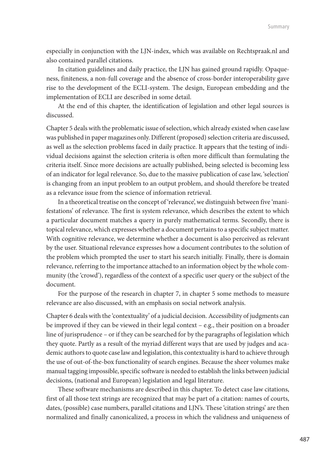especially in conjunction with the LJN-index, which was available on Rechtspraak.nl and also contained parallel citations.

In citation guidelines and daily practice, the LJN has gained ground rapidly. Opaqueness, finiteness, a non-full coverage and the absence of cross-border interoperability gave rise to the development of the ECLI-system. The design, European embedding and the implementation of ECLI are described in some detail.

At the end of this chapter, the identification of legislation and other legal sources is discussed.

Chapter 5 deals with the problematic issue of selection, which already existed when case law was published in paper magazines only. Different (proposed) selection criteria are discussed, as well as the selection problems faced in daily practice. It appears that the testing of individual decisions against the selection criteria is often more difficult than formulating the criteria itself. Since more decisions are actually published, being selected is becoming less of an indicator for legal relevance. So, due to the massive publication of case law, 'selection' is changing from an input problem to an output problem, and should therefore be treated as a relevance issue from the science of information retrieval.

In a theoretical treatise on the concept of 'relevance', we distinguish between five 'manifestations' of relevance. The first is system relevance, which describes the extent to which a particular document matches a query in purely mathematical terms. Secondly, there is topical relevance, which expresses whether a document pertains to a specific subject matter. With cognitive relevance, we determine whether a document is also perceived as relevant by the user. Situational relevance expresses how a document contributes to the solution of the problem which prompted the user to start his search initially. Finally, there is domain relevance, referring to the importance attached to an information object by the whole community (the 'crowd'), regardless of the context of a specific user query or the subject of the document.

For the purpose of the research in chapter 7, in chapter 5 some methods to measure relevance are also discussed, with an emphasis on social network analysis.

Chapter 6 deals with the 'contextuality' of a judicial decision. Accessibility of judgments can be improved if they can be viewed in their legal context – e.g., their position on a broader line of jurisprudence – or if they can be searched for by the paragraphs of legislation which they quote. Partly as a result of the myriad different ways that are used by judges and academic authors to quote case law and legislation, this contextuality is hard to achieve through the use of out-of-the-box functionality of search engines. Because the sheer volumes make manual tagging impossible, specific software is needed to establish the links between judicial decisions, (national and European) legislation and legal literature.

These software mechanisms are described in this chapter. To detect case law citations, first of all those text strings are recognized that may be part of a citation: names of courts, dates, (possible) case numbers, parallel citations and LJN's. These 'citation strings' are then normalized and finally canonicalized, a process in which the validness and uniqueness of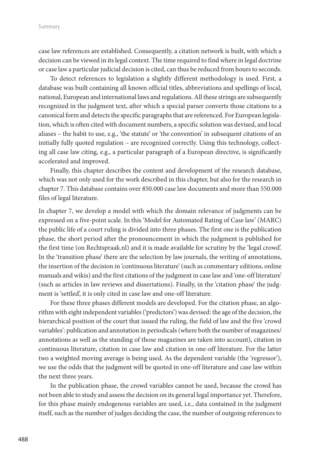case law references are established. Consequently, a citation network is built, with which a decision can be viewed in its legal context. The time required to find where in legal doctrine or case law a particular judicial decision is cited, can thus be reduced from hours to seconds.

To detect references to legislation a slightly different methodology is used. First, a database was built containing all known official titles, abbreviations and spellings of local, national, European and international laws and regulations. All these strings are subsequently recognized in the judgment text, after which a special parser converts those citations to a canonical form and detects the specific paragraphs that are referenced. For European legislation, which is often cited with document numbers, a specific solution was devised, and local aliases – the habit to use, e.g., 'the statute' or 'the convention' in subsequent citations of an initially fully quoted regulation – are recognized correctly. Using this technology, collecting all case law citing, e.g., a particular paragraph of a European directive, is significantly accelerated and improved.

Finally, this chapter describes the content and development of the research database, which was not only used for the work described in this chapter, but also for the research in chapter 7. This database contains over 850.000 case law documents and more than 550.000 files of legal literature.

In chapter 7, we develop a model with which the domain relevance of judgments can be expressed on a five-point scale. In this 'Model for Automated Rating of Case law' (MARC) the public life of a court ruling is divided into three phases. The first one is the publication phase, the short period after the pronouncement in which the judgment is published for the first time (on Rechtspraak.nl) and it is made available for scrutiny by the 'legal crowd'. In the 'transition phase' there are the selection by law journals, the writing of annotations, the insertion of the decision in 'continuous literature' (such as commentary editions, online manuals and wikis) and the first citations of the judgment in case law and 'one-off literature' (such as articles in law reviews and dissertations). Finally, in the 'citation phase' the judgment is 'settled', it is only cited in case law and one-off literature.

For these three phases different models are developed. For the citation phase, an algorithm with eight independent variables ('predictors') was devised: the age of the decision, the hierarchical position of the court that issued the ruling, the field of law and the five 'crowd variables': publication and annotation in periodicals (where both the number of magazines/ annotations as well as the standing of those magazines are taken into account), citation in continuous literature, citation in case law and citation in one-off literature. For the latter two a weighted moving average is being used. As the dependent variable (the 'regressor'), we use the odds that the judgment will be quoted in one-off literature and case law within the next three years.

In the publication phase, the crowd variables cannot be used, because the crowd has not been able to study and assess the decision on its general legal importance yet. Therefore, for this phase mainly endogenous variables are used, i.e., data contained in the judgment itself, such as the number of judges deciding the case, the number of outgoing references to